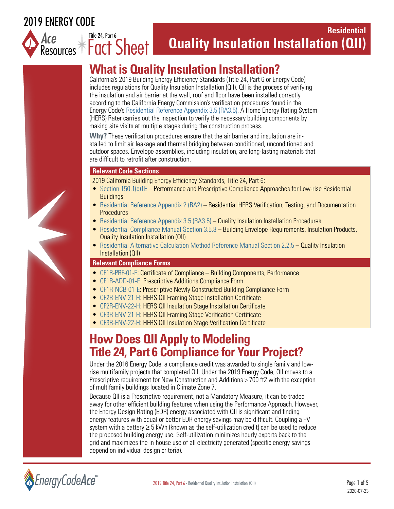### 2019 ENERGY CODE

Title 24, Part 6



### **Residential Quality Insulation Installation (QII)** *Ace*

# **What is Quality Insulation Installation?**

California's 2019 Building Energy Efficiency Standards (Title 24, Part 6 or Energy Code) includes regulations for Quality Insulation Installation (QII). QII is the process of verifying the insulation and air barrier at the wall, roof and floor have been installed correctly according to the California Energy Commission's verification procedures found in the Energy Code's [Residential Reference Appendix 3.5 \(RA3.5\).](https://energycodeace.com/site/custom/public/reference-ace-2019/Documents/ra35qualityinsulationinstallationprocedures.htm ) A Home Energy Rating System (HERS) Rater carries out the inspection to verify the necessary building components by making site visits at multiple stages during the construction process.

**Why?** These verification procedures ensure that the air barrier and insulation are installed to limit air leakage and thermal bridging between conditioned, unconditioned and outdoor spaces. Envelope assemblies, including insulation, are long-lasting materials that are difficult to retrofit after construction.

#### **Relevant Code Sections**

2019 California Building Energy Efficiency Standards, Title 24, Part 6:

- [Section 150.1\(c\)1E](https://energycodeace.com/site/custom/public/reference-ace-2019/index.html#!Documents/section1501performanceandprescriptivecomplianceapproachesforlowr.htm )  Performance and Prescriptive Compliance Approaches for Low-rise Residential **Buildings**
- [Residential Reference Appendix 2 \(RA2\)](https://energycodeace.com/site/custom/public/reference-ace-2019/Documents/appendixra2residentialhersverificationtestinganddocumentationpro.htm)  Residential HERS Verification, Testing, and Documentation **Procedures**
- [Residential Reference Appendix 3.5 \(RA3.5\)](https://energycodeace.com/site/custom/public/reference-ace-2019/Documents/ra35qualityinsulationinstallationprocedures.htm) Quality Insulation Installation Procedures
- [Residential Compliance Manual Section 3.5.8](https://energycodeace.com/site/custom/public/reference-ace-2019/index.html#!Documents/35insulationproducts.htm) Building Envelope Requirements, Insulation Products, Quality Insulation Installation (QII)
- [Residential Alternative Calculation Method Reference Manual Section 2.2.5 –](https://energycodeace.com/site/custom/public/reference-ace-2019/Documents/22thebuilding.htm) Quality Insulation Installation (QII)

#### **Relevant Compliance Forms**

- [CF1R-PRF-01-E:](https://www.energycodeace.com/ResidentialForms/2019) Certificate of Compliance Building Components, Performance
- [CF1R-ADD-01-E:](https://www.energycodeace.com/ResidentialForms/2019) Prescriptive Additions Compliance Form
- [CF1R-NCB-01-E](https://www.energycodeace.com/ResidentialForms/2019): Prescriptive Newly Constructed Building Compliance Form
- [CF2R-ENV-21-H:](https://www.energycodeace.com/ResidentialForms/2019) HERS QII Framing Stage Installation Certificate
- [CF2R-ENV-22-H:](https://www.energycodeace.com/ResidentialForms/2019) HERS QII Insulation Stage Installation Certificate
- [CF3R-ENV-21-H:](https://www.energycodeace.com/ResidentialForms/2019) HERS QII Framing Stage Verification Certificate
- [CF3R-ENV-22-H:](https://www.energycodeace.com/ResidentialForms/2019) HERS QII Insulation Stage Verification Certificate

## **How Does QII Apply to Modeling Title 24, Part 6 Compliance for Your Project?**

Under the 2016 Energy Code, a compliance credit was awarded to single family and lowrise multifamily projects that completed QII. Under the 2019 Energy Code, QII moves to a Prescriptive requirement for New Construction and Additions > 700 ft2 with the exception of multifamily buildings located in Climate Zone 7.

Because QII is a Prescriptive requirement, not a Mandatory Measure, it can be traded away for other efficient building features when using the Performance Approach. However, the Energy Design Rating (EDR) energy associated with QII is significant and finding energy features with equal or better EDR energy savings may be difficult. Coupling a PV system with a battery  $\geq 5$  kWh (known as the self-utilization credit) can be used to reduce the proposed building energy use. Self-utilization minimizes hourly exports back to the grid and maximizes the in-house use of all electricity generated (specific energy savings depend on individual design criteria).

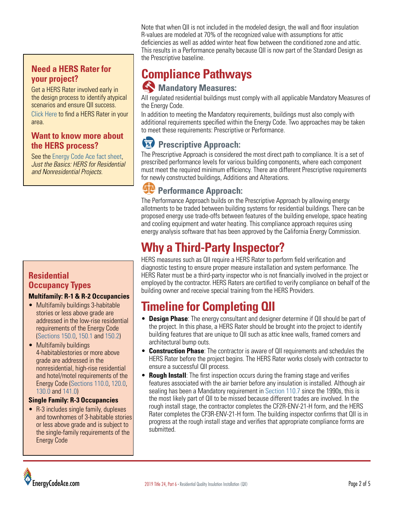#### **Need a HERS Rater for your project?**

Get a HERS Rater involved early in the design process to identify atypical scenarios and ensure QII success.

[Click Here](https://www.energy.ca.gov/programs-and-topics/programs/home-energy-rating-system-hers-program/home-energy-rating-system) to find a HERS Rater in your area.

#### **Want to know more about the HERS process?**

See the [Energy Code Ace fact sheet](https://energycodeace.com/content/resources-ace/file_type=fact-sheet), *Just the Basics: HERS for Residential and Nonresidential Projects*.

#### **Residential Occupancy Types**

#### **Multifamily: R-1 & R-2 Occupancies**

- Multifamily buildings 3-habitable stories or less above grade are addressed in the low-rise residential requirements of the Energy Code ([Sections 150.0](https://energycodeace.com/site/custom/public/reference-ace-2019/Documents/section1500mandatoryfeaturesanddevices.htm), [150.1](https://energycodeace.com/site/custom/public/reference-ace-2019/Documents/section1501performanceandprescriptivecomplianceapproachesforlowr.htm) and [150.2](https://energycodeace.com/site/custom/public/reference-ace-2019/Documents/section1502energyefficiencystandardsforadditionsandalterationsto.htm))
- Multifamily buildings 4-habitablestories or more above grade are addressed in the nonresidential, high-rise residential and hotel/motel requirements of the Energy Code [\(Sections 110.0,](https://energycodeace.com/site/custom/public/reference-ace-2019/Documents/section1100systemsandequipmentgeneral.htm) [120.0](https://energycodeace.com/site/custom/public/reference-ace-2019/Documents/section1200general.htm), [130.0](https://energycodeace.com/site/custom/public/reference-ace-2019/Documents/section1300lightingsystemsandequipmentandelectricalpowerdistribu.htm) and [141.0\)](https://energycodeace.com/site/custom/public/reference-ace-2019/Documents/section1410additionsalterationsandrepairstoexistingnonresidentia1.htm)

#### **Single Family: R-3 Occupancies**

• R-3 includes single family, duplexes and townhomes of 3-habitable stories or less above grade and is subject to the single-family requirements of the Energy Code

Note that when QII is not included in the modeled design, the wall and floor insulation R-values are modeled at 70% of the recognized value with assumptions for attic deficiencies as well as added winter heat flow between the conditioned zone and attic. This results in a Performance penalty because QII is now part of the Standard Design as the Prescriptive baseline.

### **Compliance Pathways Mandatory Measures:**

All regulated residential buildings must comply with all applicable Mandatory Measures of the Energy Code.

In addition to meeting the Mandatory requirements, buildings must also comply with additional requirements specified within the Energy Code. Two approaches may be taken to meet these requirements: Prescriptive or Performance.

### **RPrescriptive Approach:**

The Prescriptive Approach is considered the most direct path to compliance. It is a set of prescribed performance levels for various building components, where each component must meet the required minimum efficiency. There are different Prescriptive requirements for newly constructed buildings, Additions and Alterations.

### *<u>SP</u>* Performance Approach:

The Performance Approach builds on the Prescriptive Approach by allowing energy allotments to be traded between building systems for residential buildings. There can be proposed energy use trade-offs between features of the building envelope, space heating and cooling equipment and water heating. This compliance approach requires using energy analysis software that has been approved by the California Energy Commission.

## **Why a Third-Party Inspector?**

HERS measures such as QII require a HERS Rater to perform field verification and diagnostic testing to ensure proper measure installation and system performance. The HERS Rater must be a third-party inspector who is not financially involved in the project or employed by the contractor. HERS Raters are certified to verify compliance on behalf of the building owner and receive special training from the HERS Providers.

## **Timeline for Completing QII**

- **Design Phase**: The energy consultant and designer determine if QII should be part of the project. In this phase, a HERS Rater should be brought into the project to identify building features that are unique to QII such as attic knee walls, framed corners and architectural bump outs.
- **Construction Phase**: The contractor is aware of QII requirements and schedules the HERS Rater before the project begins. The HERS Rater works closely with contractor to ensure a successful QII process.
- **Rough Install**: The first inspection occurs during the framing stage and verifies features associated with the air barrier before any insulation is installed. Although air sealing has been a Mandatory requirement in [Section 110.7](https://energycodeace.com/site/custom/public/reference-ace-2019/Documents/section1107mandatoryrequirementstolimitairleakage.htm) since the 1990s, this is the most likely part of QII to be missed because different trades are involved. In the rough install stage, the contractor completes the CF2R-ENV-21-H form, and the HERS Rater completes the CF3R-ENV-21-H form. The building inspector confirms that QII is in progress at the rough install stage and verifies that appropriate compliance forms are submitted.

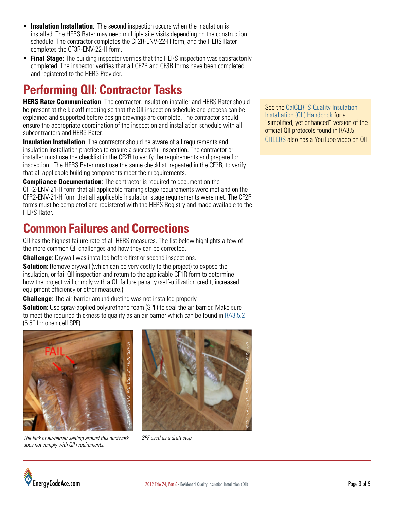- **Insulation Installation**: The second inspection occurs when the insulation is installed. The HERS Rater may need multiple site visits depending on the construction schedule. The contractor completes the CF2R-ENV-22-H form, and the HERS Rater completes the CF3R-ENV-22-H form.
- **Final Stage**: The building inspector verifies that the HERS inspection was satisfactorily completed. The inspector verifies that all CF2R and CF3R forms have been completed and registered to the HERS Provider.

## **Performing QII: Contractor Tasks**

**HERS Rater Communication**: The contractor, insulation installer and HERS Rater should be present at the kickoff meeting so that the QII inspection schedule and process can be explained and supported before design drawings are complete. The contractor should ensure the appropriate coordination of the inspection and installation schedule with all subcontractors and HERS Rater.

**Insulation Installation**: The contractor should be aware of all requirements and insulation installation practices to ensure a successful inspection. The contractor or installer must use the checklist in the CF2R to verify the requirements and prepare for inspection. The HERS Rater must use the same checklist, repeated in the CF3R, to verify that all applicable building components meet their requirements.

**Compliance Documentation**: The contractor is required to document on the CFR2-ENV-21-H form that all applicable framing stage requirements were met and on the CFR2-ENV-21-H form that all applicable insulation stage requirements were met. The CF2R forms must be completed and registered with the HERS Registry and made available to the HERS Rater.

## **Common Failures and Corrections**

QII has the highest failure rate of all HERS measures. The list below highlights a few of the more common QII challenges and how they can be corrected.

**Challenge**: Drywall was installed before first or second inspections.

**Solution**: Remove drywall (which can be very costly to the project) to expose the insulation, or fail QII inspection and return to the applicable CF1R form to determine how the project will comply with a QII failure penalty (self-utilization credit, increased equipment efficiency or other measure.)

**Challenge**: The air barrier around ducting was not installed properly.

**Solution**: Use spray-applied polyurethane foam (SPF) to seal the air barrier. Make sure to meet the required thickness to qualify as an air barrier which can be found in [RA3.5.2](https://energycodeace.com/site/custom/public/reference-ace-2019/index.html#!Documents/ra35qualityinsulationinstallationprocedures.htm) (5.5" for open cell SPF).



*The lack of air-barrier sealing around this ductwork does not comply with QII requirements.*



*SPF used as a draft stop*

See the CalCERTS Quality Insulation [Installation \(QII\) Handbook](https://www.calcerts.com/forms/public/CalCERTS_QII_Handbook_2019.pdf?v=3) for a "simplified, yet enhanced" version of the official QII protocols found in RA3.5. [CHEERS](https://www.cheers.org/) also has a YouTube video on QII.

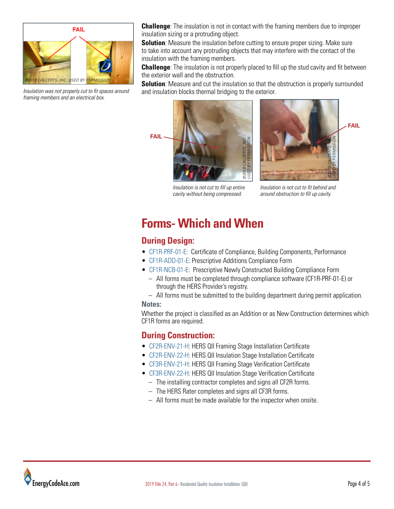

*Insulation was not properly cut to fit spaces around framing members and an electrical box.*

**Challenge**: The insulation is not in contact with the framing members due to improper insulation sizing or a protruding object.

**Solution**: Measure the insulation before cutting to ensure proper sizing. Make sure to take into account any protruding objects that may interfere with the contact of the insulation with the framing members.

**Challenge**: The insulation is not properly placed to fill up the stud cavity and fit between the exterior wall and the obstruction.

**Solution**: Measure and cut the insulation so that the obstruction is properly surrounded and insulation blocks thermal bridging to the exterior.





*Insulation is not cut to fill up entire cavity without being compressed.*

*Insulation is not cut to fit behind and around obstruction to fill up cavity.*

## **Forms- Which and When**

### **During Design:**

- [CF1R-PRF-01-E:](https://www.energycodeace.com/ResidentialForms/2019) Certificate of Compliance, Building Components, Performance
- [CF1R-ADD-01-E:](https://www.energycodeace.com/ResidentialForms/2019) Prescriptive Additions Compliance Form
- [CF1R-NCB-01-E:](https://www.energycodeace.com/ResidentialForms/2019) Prescriptive Newly Constructed Building Compliance Form
	- All forms must be completed through compliance software (CF1R-PRF-01-E) or through the HERS Provider's registry.

– All forms must be submitted to the building department during permit application. **Notes:**

Whether the project is classified as an Addition or as New Construction determines which CF1R forms are required.

#### **During Construction:**

- [CF2R-ENV-21-H](https://www.energycodeace.com/ResidentialForms/2019): HERS QII Framing Stage Installation Certificate
- [CF2R-ENV-22-H](https://www.energycodeace.com/ResidentialForms/2019): HERS QII Insulation Stage Installation Certificate
- [CF3R-ENV-21-H](https://www.energycodeace.com/ResidentialForms/2019): HERS QII Framing Stage Verification Certificate
- [CF3R-ENV-22-H](https://www.energycodeace.com/ResidentialForms/2019): HERS QII Insulation Stage Verification Certificate
	- The installing contractor completes and signs all CF2R forms.
	- The HERS Rater completes and signs all CF3R forms.
	- All forms must be made available for the inspector when onsite.